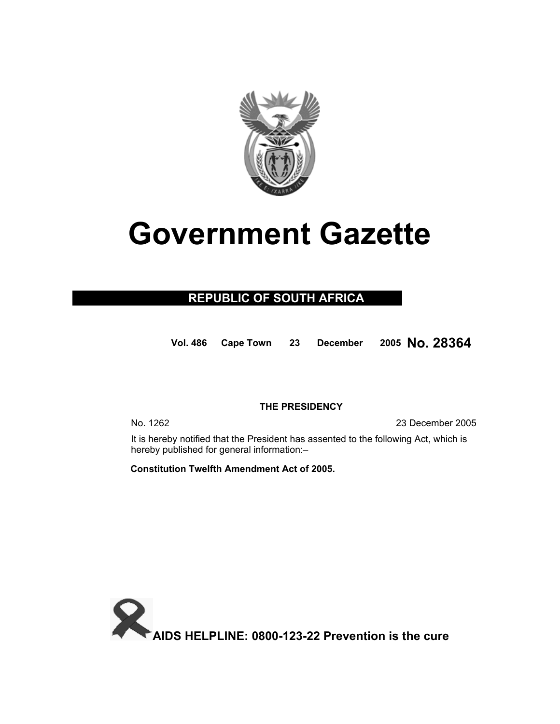

# **Government Gazette**

### **REPUBLIC OF SOUTH AFRICA**

**Vol. 48<sup>6</sup> Cape Town <sup>23</sup> December <sup>200</sup><sup>5</sup> No. 28364**

#### **THE PRESIDENCY**

No. 1262 23 December 2005

It is hereby notified that the President has assented to the following Act, which is hereby published for general information:–

 **Constitution Twelfth Amendment Act of 2005.** 

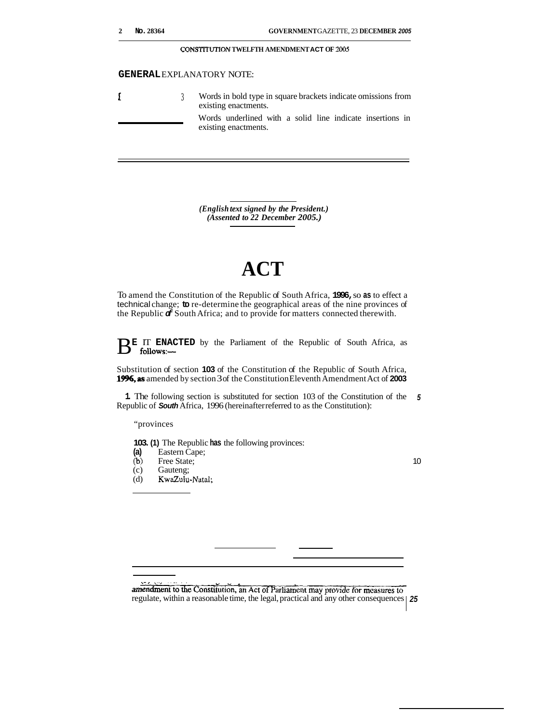|  | No. 28364 |
|--|-----------|
|  |           |

#### **CONSTITUTION TWELFTH AMENDMENT ACT OF** *2005*

#### **GENERAL** EXPLANATORY NOTE:

|  | Words in bold type in square brackets indicate omissions from<br>existing enactments. |
|--|---------------------------------------------------------------------------------------|
|  | Words underlined with a solid line indicate insertions in<br>existing enactments.     |

*(English text signed by the President.) (Assented to 22 December 2005.)* 

## **ACT**

To amend the Constitution of the Republic of South Africa, **1996,** so **as** to effect a technical change; **to** re-determine the geographical areas of the nine provinces of the Republic *of* South Africa; and to provide for matters connected therewith.

BE IT **ENACTED** by the Parliament of the Republic of South Africa, as follows:--

Substitution of section **103** of the Constitution of the Republic of South Africa, **1996,as** amended by section 3 of the Constitution Eleventh Amendment Act of **2003** 

**1.** The following section is substituted for section 103 of the Constitution of the *<sup>5</sup>* Republic of *South* Africa, 1996 (hereinafter referred to as the Constitution):

"provinces

**103. (1)** The Republic **has** the following provinces:

- **(a)** Eastern Cape;
- (b) Free State;<br>(c) Gauteng;
- Gauteng;
- (d) KwaZulu-Natal;

10

amendment to the Constitution, an Act of Parliament may provide for measures to regulate, within a reasonable time, the legal, practical and any other consequences *25*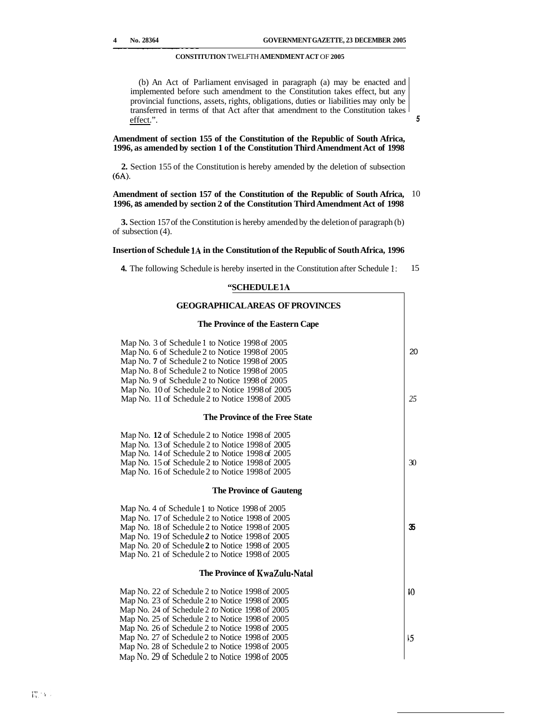*5* 

#### **CONSTITUTION** TWELFTH **AMENDMENT ACT** OF **2005**

(b) An Act of Parliament envisaged in paragraph (a) may be enacted and implemented before such amendment to the Constitution takes effect, but any provincial functions, assets, rights, obligations, duties or liabilities may only be transferred in terms of that Act after that amendment to the Constitution takes effect.".

#### **Amendment of section 155 of the Constitution of the Republic of South Africa, 1996, as amended by section 1 of the Constitution Third Amendment Act of 1998**

**2.** Section 155 of the Constitution is hereby amended by the deletion of subsection **(6A).** 

#### **Amendment of section 157 of the Constitution of the Republic of South Africa, 1996, as amended by section 2 of the Constitution Third Amendment Act of 1998**  10

**3.** Section 157 of the Constitution is hereby amended by the deletion of paragraph (b) of subsection (4).

#### **Insertion of Schedule 1A in the Constitution of the Republic of South Africa, 1996**

**4.** The following Schedule is hereby inserted in the Constitution after Schedule 1: 15

#### **"SCHEDULE 1A**

| <b>GEOGRAPHICALAREAS OF PROVINCES</b>           |                 |
|-------------------------------------------------|-----------------|
| The Province of the Eastern Cape                |                 |
| Map No. 3 of Schedule 1 to Notice 1998 of 2005  |                 |
| Map No. 6 of Schedule 2 to Notice 1998 of 2005  | 20              |
| Map No. 7 of Schedule 2 to Notice 1998 of 2005  |                 |
| Map No. 8 of Schedule 2 to Notice 1998 of 2005  |                 |
| Map No. 9 of Schedule 2 to Notice 1998 of 2005  |                 |
| Map No. 10 of Schedule 2 to Notice 1998 of 2005 |                 |
| Map No. 11 of Schedule 2 to Notice 1998 of 2005 | 25              |
| The Province of the Free State                  |                 |
| Map No. 12 of Schedule 2 to Notice 1998 of 2005 |                 |
| Map No. 13 of Schedule 2 to Notice 1998 of 2005 |                 |
| Map No. 14 of Schedule 2 to Notice 1998 of 2005 |                 |
| Map No. 15 of Schedule 2 to Notice 1998 of 2005 | 30              |
| Map No. 16 of Schedule 2 to Notice 1998 of 2005 |                 |
| <b>The Province of Gauteng</b>                  |                 |
| Map No. 4 of Schedule 1 to Notice 1998 of 2005  |                 |
| Map No. 17 of Schedule 2 to Notice 1998 of 2005 |                 |
| Map No. 18 of Schedule 2 to Notice 1998 of 2005 | 35.             |
| Map No. 19 of Schedule 2 to Notice 1998 of 2005 |                 |
| Map No. 20 of Schedule 2 to Notice 1998 of 2005 |                 |
| Map No. 21 of Schedule 2 to Notice 1998 of 2005 |                 |
| The Province of KwaZulu-Natal                   |                 |
| Map No. 22 of Schedule 2 to Notice 1998 of 2005 | 10 <sup>2</sup> |
| Map No. 23 of Schedule 2 to Notice 1998 of 2005 |                 |
| Map No. 24 of Schedule 2 to Notice 1998 of 2005 |                 |
| Map No. 25 of Schedule 2 to Notice 1998 of 2005 |                 |
| Map No. 26 of Schedule 2 to Notice 1998 of 2005 |                 |
| Map No. 27 of Schedule 2 to Notice 1998 of 2005 | 5               |
| Map No. 28 of Schedule 2 to Notice 1998 of 2005 |                 |
| Map No. 29 of Schedule 2 to Notice 1998 of 2005 |                 |